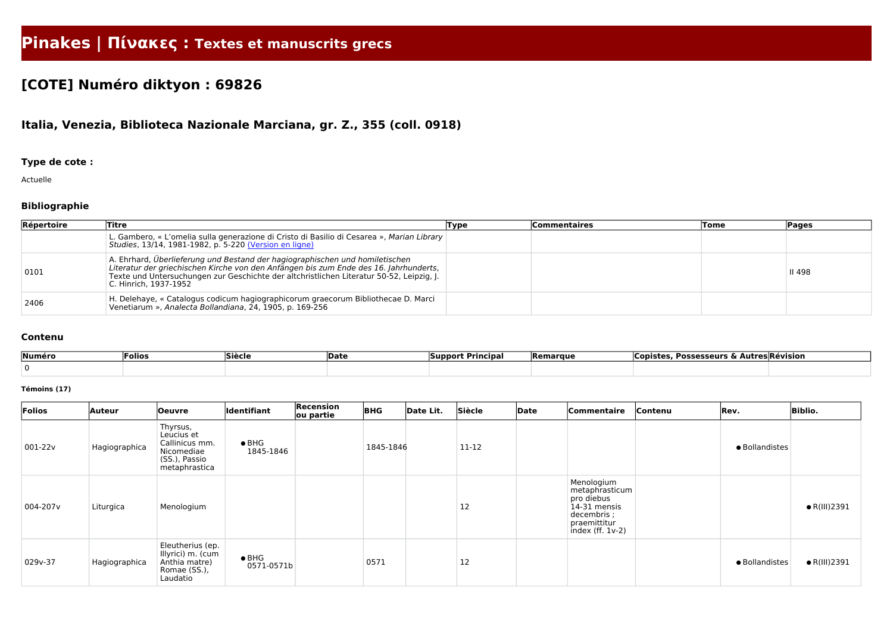# **Pinakes | Πίνακες : Textes et manuscrits grecs**

# **[COTE] Numéro diktyon : 69826**

## **Italia, Venezia, Biblioteca Nazionale Marciana, gr. Z., 355 (coll. 0918)**

### **Type de cote :**

Actuelle

### **Bibliographie**

| Répertoire | Titre                                                                                                                                                                                                                                                                                      | Type | Commentaires | <b>Tome</b> | <b>Pages</b> |
|------------|--------------------------------------------------------------------------------------------------------------------------------------------------------------------------------------------------------------------------------------------------------------------------------------------|------|--------------|-------------|--------------|
|            | L. Gambero, « L'omelia sulla generazione di Cristo di Basilio di Cesarea », Marian Library<br>Studies, 13/14, 1981-1982, p. 5-220 (Version en ligne)                                                                                                                                       |      |              |             |              |
| 0101       | A. Ehrhard, Überlieferung und Bestand der hagiographischen und homiletischen<br>Literatur der griechischen Kirche von den Anfängen bis zum Ende des 16. Jahrhunderts,<br>Texte und Untersuchungen zur Geschichte der altchristlichen Literatur 50-52, Leipzig, J.<br>C. Hinrich, 1937-1952 |      |              |             | II 498       |
| 2406       | H. Delehaye, « Catalogus codicum hagiographicorum graecorum Bibliothecae D. Marci<br>Venetiarum », Analecta Bollandiana, 24, 1905, p. 169-256                                                                                                                                              |      |              |             |              |

#### **Contenu**

| Numéro | Folios | Siècle | <b>IDate</b> | . rincipal<br>Dri.<br><b>ISupport</b> | <b>Remarque</b> | <b>Autres Révision</b><br><b>POSSESSEULS</b><br>iopiste<br>$\sim$<br>---------- |
|--------|--------|--------|--------------|---------------------------------------|-----------------|---------------------------------------------------------------------------------|
|        |        |        |              |                                       |                 |                                                                                 |

#### **Témoins (17)**

| Folios   | Auteur        | <b>Oeuvre</b>                                                                            | <b>Identifiant</b>          | Recension<br>ou partie | <b>BHG</b> | Date Lit. | Siècle    | Date | Commentaire                                                                                                           | Contenu | Rev.           | <b>Biblio.</b>       |
|----------|---------------|------------------------------------------------------------------------------------------|-----------------------------|------------------------|------------|-----------|-----------|------|-----------------------------------------------------------------------------------------------------------------------|---------|----------------|----------------------|
| 001-22v  | Hagiographica | Thyrsus,<br>Leucius et<br>Callinicus mm.<br>Nicomediae<br>(SS.), Passio<br>metaphrastica | $\bullet$ BHG<br>1845-1846  |                        | 1845-1846  |           | $11 - 12$ |      |                                                                                                                       |         | · Bollandistes |                      |
| 004-207v | Liturgica     | Menologium                                                                               |                             |                        |            |           | 12        |      | Menologium<br>metaphrasticum<br>pro diebus<br>14-31 mensis<br>decembris ;<br>praemittitur<br>$ $ index (ff. 1 $v-2$ ) |         |                | $\bullet$ R(III)2391 |
| 029v-37  | Hagiographica | Eleutherius (ep.<br>Illyrici) m. (cum<br>Anthia matre)<br>Romae (SS.),<br>Laudatio       | $\bullet$ BHG<br>0571-0571b |                        | 0571       |           | 12        |      |                                                                                                                       |         | • Bollandistes | $\bullet$ R(III)2391 |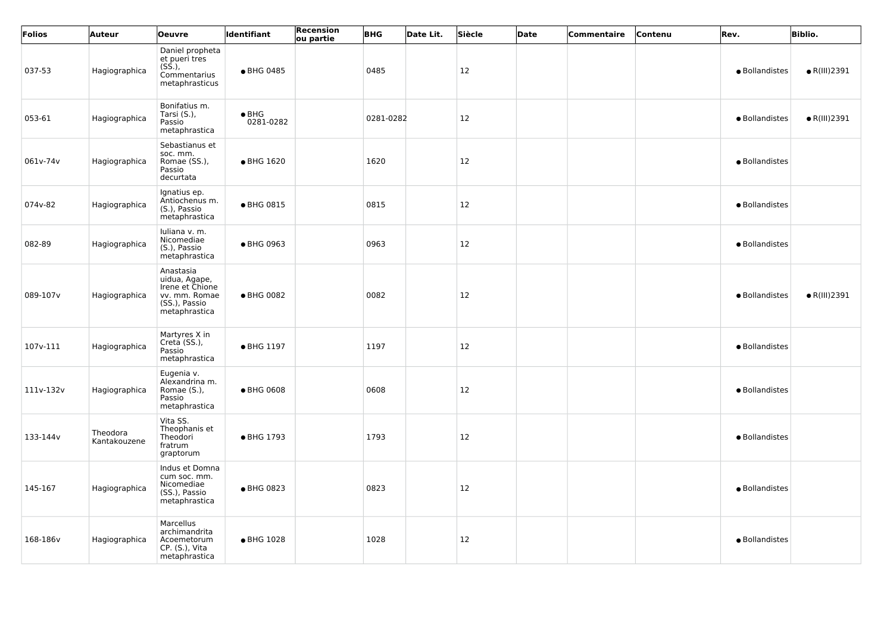| Folios    | <b>Auteur</b>            | <b>Oeuvre</b>                                                                                    | Identifiant                | Recension<br>ou partie | <b>BHG</b> | Date Lit. | Siècle    | Date | Commentaire | Contenu | Rev.           | <b>Biblio.</b>       |
|-----------|--------------------------|--------------------------------------------------------------------------------------------------|----------------------------|------------------------|------------|-----------|-----------|------|-------------|---------|----------------|----------------------|
| 037-53    | Hagiographica            | Daniel propheta<br>et pueri tres<br>$(S\dot{S}.),$<br>Commentarius<br>metaphrasticus             | ● BHG 0485                 |                        | 0485       |           | <b>12</b> |      |             |         | · Bollandistes | $\bullet$ R(III)2391 |
| 053-61    | Hagiographica            | Bonifatius m.<br>Tarsi (S.),<br>Passio<br>metaphrastica                                          | $\bullet$ BHG<br>0281-0282 |                        | 0281-0282  |           | <b>12</b> |      |             |         | · Bollandistes | $\bullet$ R(III)2391 |
| 061v-74v  | Hagiographica            | Sebastianus et<br>soc. mm.<br>Romae (SS.),<br>Passio<br>decurtata                                | • BHG 1620                 |                        | 1620       |           | <b>12</b> |      |             |         | · Bollandistes |                      |
| 074v-82   | Hagiographica            | Ignatius ep.<br>Antiochenus m.<br>(S.), Passio<br>metaphrastica                                  | ● BHG 0815                 |                        | 0815       |           | 12        |      |             |         | · Bollandistes |                      |
| 082-89    | Hagiographica            | Iuliana v. m.<br>Nicomediae<br>(S.), Passio<br>metaphrastica                                     | • BHG 0963                 |                        | 0963       |           | <b>12</b> |      |             |         | · Bollandistes |                      |
| 089-107v  | Hagiographica            | Anastasia<br>uidua, Agape,<br>Irene et Chione<br>vv. mm. Romae<br>(SS.), Passio<br>metaphrastica | ● BHG 0082                 |                        | 0082       |           | 12        |      |             |         | · Bollandistes | $\bullet$ R(III)2391 |
| 107v-111  | Hagiographica            | Martyres X in<br>Creta (SS.),<br>Passio<br>metaphrastica                                         | • BHG 1197                 |                        | 1197       |           | 12        |      |             |         | · Bollandistes |                      |
| 111v-132v | Hagiographica            | Eugenia v.<br>Alexandrina m.<br>Romae (S.),<br>Passio<br>metaphrastica                           | ● BHG 0608                 |                        | 0608       |           | <b>12</b> |      |             |         | · Bollandistes |                      |
| 133-144v  | Theodora<br>Kantakouzene | Vita SS.<br>Theophanis et<br>Theodori<br>fratrum<br>graptorum                                    | • BHG 1793                 |                        | 1793       |           | <b>12</b> |      |             |         | · Bollandistes |                      |
| 145-167   | Hagiographica            | Indus et Domna<br>cum soc. mm.<br>Nicomediae<br>(SS.), Passio<br>metaphrastica                   | ● BHG 0823                 |                        | 0823       |           | 12        |      |             |         | · Bollandistes |                      |
| 168-186v  | Hagiographica            | Marcellus<br>archimandrita<br>Acoemetorum<br>CP. (S.), Vita<br>metaphrastica                     | • BHG 1028                 |                        | 1028       |           | <b>12</b> |      |             |         | · Bollandistes |                      |